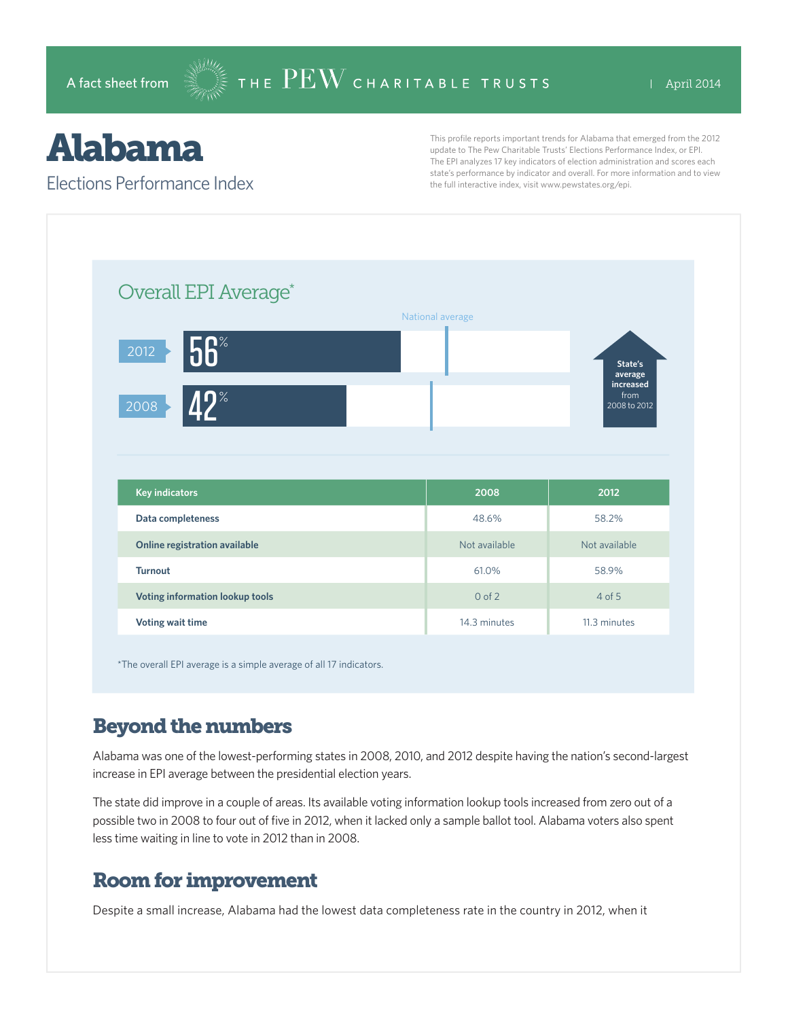# Alabama

#### Elections Performance Index

This profile reports important trends for Alabama that emerged from the 2012 update to The Pew Charitable Trusts' Elections Performance Index, or EPI. The EPI analyzes 17 key indicators of election administration and scores each state's performance by indicator and overall. For more information and to view the full interactive index, visit www.pewstates.org/epi.

| Overall EPI Average*              |                  |                                   |
|-----------------------------------|------------------|-----------------------------------|
|                                   | National average |                                   |
| $56^{\circ}$<br>$\overline{2012}$ |                  | State's<br>average                |
| $42^{\circ}$<br>2008              |                  | increased<br>from<br>2008 to 2012 |
|                                   |                  |                                   |
|                                   |                  |                                   |
| <b>Key indicators</b>             | 2008             | 2012                              |
| Data completeness                 | 48.6%            | 58.2%                             |
| Online registration available     | Not available    | Not available                     |
| <b>Turnout</b>                    | 61.0%            | 58.9%                             |
| Voting information lookup tools   | $0$ of $2$       | $4$ of 5                          |

\*The overall EPI average is a simple average of all 17 indicators.

### Beyond the numbers

Alabama was one of the lowest-performing states in 2008, 2010, and 2012 despite having the nation's second-largest increase in EPI average between the presidential election years.

The state did improve in a couple of areas. Its available voting information lookup tools increased from zero out of a possible two in 2008 to four out of five in 2012, when it lacked only a sample ballot tool. Alabama voters also spent less time waiting in line to vote in 2012 than in 2008.

## Room for improvement

Despite a small increase, Alabama had the lowest data completeness rate in the country in 2012, when it